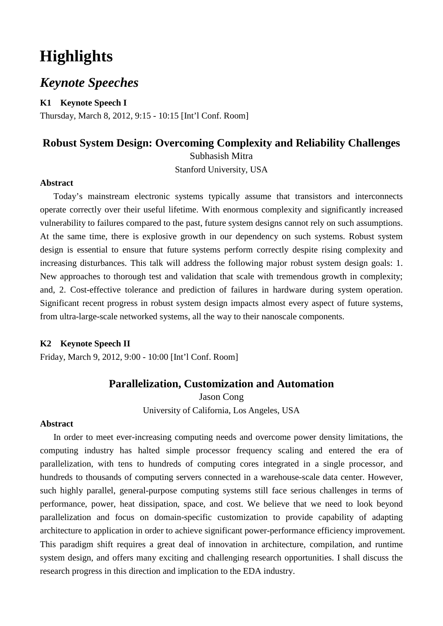# **Highlights**

# *Keynote Speeches*

**K1 Keynote Speech I**

Thursday, March 8, 2012, 9:15 - 10:15 [Int'l Conf. Room]

# **Robust System Design: Overcoming Complexity and Reliability Challenges**

Subhasish Mitra

Stanford University, USA

#### **Abstract**

Today's mainstream electronic systems typically assume that transistors and interconnects operate correctly over their useful lifetime. With enormous complexity and significantly increased vulnerability to failures compared to the past, future system designs cannot rely on such assumptions. At the same time, there is explosive growth in our dependency on such systems. Robust system design is essential to ensure that future systems perform correctly despite rising complexity and increasing disturbances. This talk will address the following major robust system design goals: 1. New approaches to thorough test and validation that scale with tremendous growth in complexity; and, 2. Cost-effective tolerance and prediction of failures in hardware during system operation. Significant recent progress in robust system design impacts almost every aspect of future systems, from ultra-large-scale networked systems, all the way to their nanoscale components.

#### **K2 Keynote Speech II**

Friday, March 9, 2012, 9:00 - 10:00 [Int'l Conf. Room]

### **Parallelization, Customization and Automation**

Jason Cong University of California, Los Angeles, USA

#### **Abstract**

In order to meet ever-increasing computing needs and overcome power density limitations, the computing industry has halted simple processor frequency scaling and entered the era of parallelization, with tens to hundreds of computing cores integrated in a single processor, and hundreds to thousands of computing servers connected in a warehouse-scale data center. However, such highly parallel, general-purpose computing systems still face serious challenges in terms of performance, power, heat dissipation, space, and cost. We believe that we need to look beyond parallelization and focus on domain-specific customization to provide capability of adapting architecture to application in order to achieve significant power-performance efficiency improvement. This paradigm shift requires a great deal of innovation in architecture, compilation, and runtime system design, and offers many exciting and challenging research opportunities. I shall discuss the research progress in this direction and implication to the EDA industry.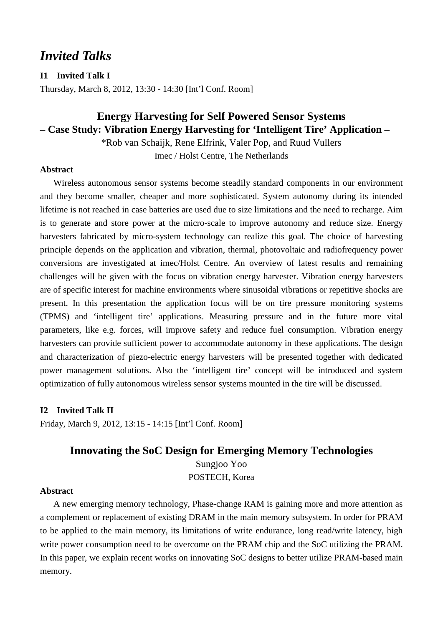# *Invited Talks*

**I1 Invited Talk I**

Thursday, March 8, 2012, 13:30 - 14:30 [Int'l Conf. Room]

# **Energy Harvesting for Self Powered Sensor Systems – Case Study: Vibration Energy Harvesting for 'Intelligent Tire' Application –**

\*Rob van Schaijk, Rene Elfrink, Valer Pop, and Ruud Vullers Imec / Holst Centre, The Netherlands

### **Abstract**

Wireless autonomous sensor systems become steadily standard components in our environment and they become smaller, cheaper and more sophisticated. System autonomy during its intended lifetime is not reached in case batteries are used due to size limitations and the need to recharge. Aim is to generate and store power at the micro-scale to improve autonomy and reduce size. Energy harvesters fabricated by micro-system technology can realize this goal. The choice of harvesting principle depends on the application and vibration, thermal, photovoltaic and radiofrequency power conversions are investigated at imec/Holst Centre. An overview of latest results and remaining challenges will be given with the focus on vibration energy harvester. Vibration energy harvesters are of specific interest for machine environments where sinusoidal vibrations or repetitive shocks are present. In this presentation the application focus will be on tire pressure monitoring systems (TPMS) and 'intelligent tire' applications. Measuring pressure and in the future more vital parameters, like e.g. forces, will improve safety and reduce fuel consumption. Vibration energy harvesters can provide sufficient power to accommodate autonomy in these applications. The design and characterization of piezo-electric energy harvesters will be presented together with dedicated power management solutions. Also the 'intelligent tire' concept will be introduced and system optimization of fully autonomous wireless sensor systems mounted in the tire will be discussed.

#### **I2 Invited Talk II**

Friday, March 9, 2012, 13:15 - 14:15 [Int'l Conf. Room]

### **Innovating the SoC Design for Emerging Memory Technologies**

Sungjoo Yoo POSTECH, Korea

#### **Abstract**

A new emerging memory technology, Phase-change RAM is gaining more and more attention as a complement or replacement of existing DRAM in the main memory subsystem. In order for PRAM to be applied to the main memory, its limitations of write endurance, long read/write latency, high write power consumption need to be overcome on the PRAM chip and the SoC utilizing the PRAM. In this paper, we explain recent works on innovating SoC designs to better utilize PRAM-based main memory.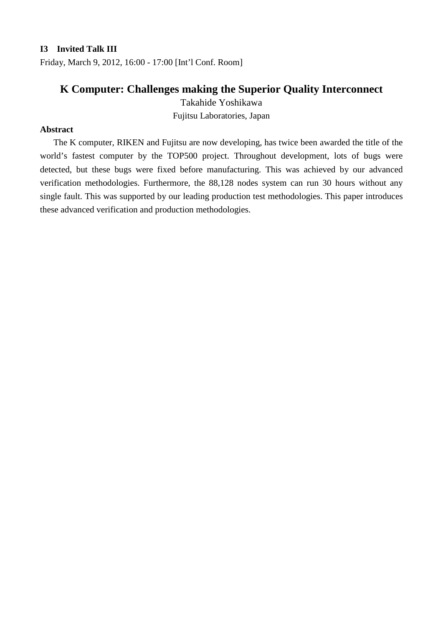#### **I3 Invited Talk III**

Friday, March 9, 2012, 16:00 - 17:00 [Int'l Conf. Room]

# **K Computer: Challenges making the Superior Quality Interconnect**

Takahide Yoshikawa

Fujitsu Laboratories, Japan

### **Abstract**

The K computer, RIKEN and Fujitsu are now developing, has twice been awarded the title of the world's fastest computer by the TOP500 project. Throughout development, lots of bugs were detected, but these bugs were fixed before manufacturing. This was achieved by our advanced verification methodologies. Furthermore, the 88,128 nodes system can run 30 hours without any single fault. This was supported by our leading production test methodologies. This paper introduces these advanced verification and production methodologies.